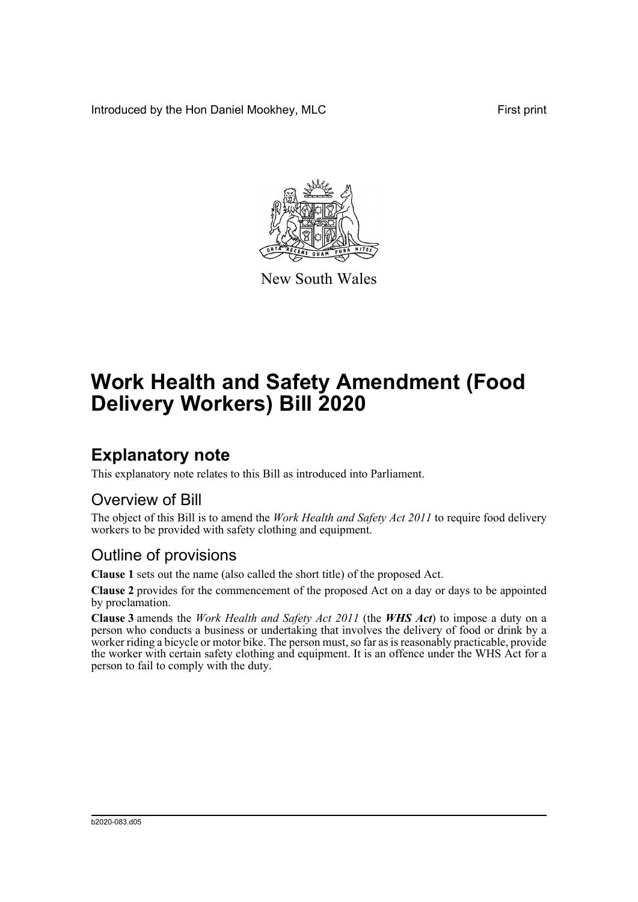Introduced by the Hon Daniel Mookhey, MLC First print



New South Wales

# **Work Health and Safety Amendment (Food Delivery Workers) Bill 2020**

## **Explanatory note**

This explanatory note relates to this Bill as introduced into Parliament.

#### Overview of Bill

The object of this Bill is to amend the *Work Health and Safety Act 2011* to require food delivery workers to be provided with safety clothing and equipment.

#### Outline of provisions

**Clause 1** sets out the name (also called the short title) of the proposed Act.

**Clause 2** provides for the commencement of the proposed Act on a day or days to be appointed by proclamation.

**Clause 3** amends the *Work Health and Safety Act 2011* (the *WHS Act*) to impose a duty on a person who conducts a business or undertaking that involves the delivery of food or drink by a worker riding a bicycle or motor bike. The person must, so far as is reasonably practicable, provide the worker with certain safety clothing and equipment. It is an offence under the WHS Act for a person to fail to comply with the duty.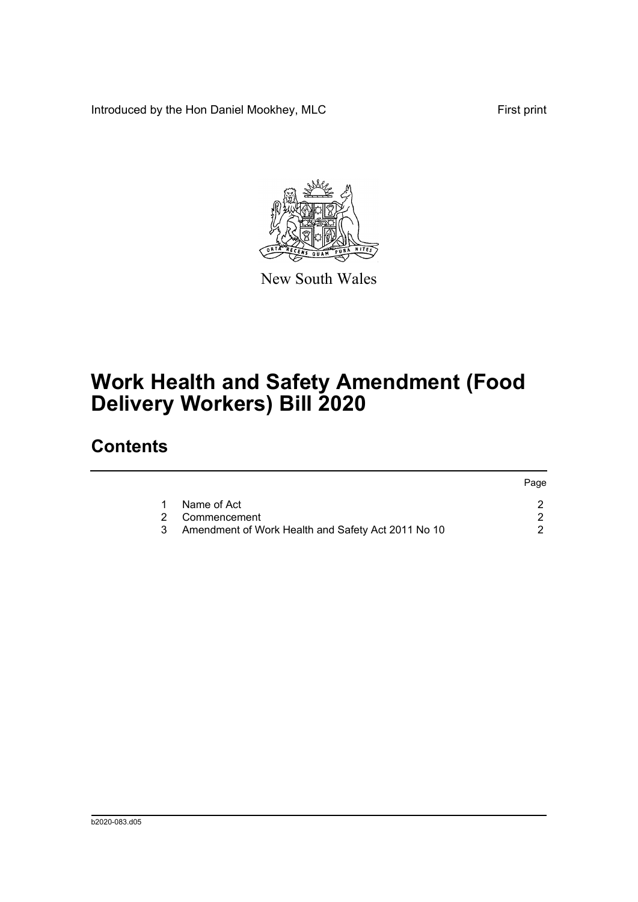Introduced by the Hon Daniel Mookhey, MLC First print



New South Wales

# **Work Health and Safety Amendment (Food Delivery Workers) Bill 2020**

### **Contents**

|   |                                                    | Page |
|---|----------------------------------------------------|------|
| 1 | Name of Act                                        |      |
|   | 2 Commencement                                     |      |
| 3 | Amendment of Work Health and Safety Act 2011 No 10 |      |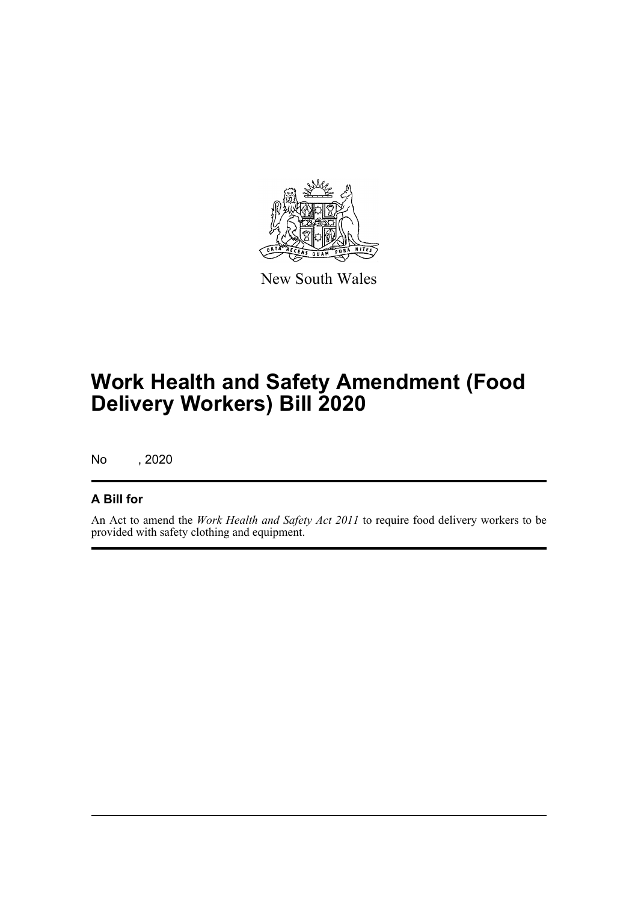

New South Wales

# **Work Health and Safety Amendment (Food Delivery Workers) Bill 2020**

No , 2020

#### **A Bill for**

An Act to amend the *Work Health and Safety Act 2011* to require food delivery workers to be provided with safety clothing and equipment.